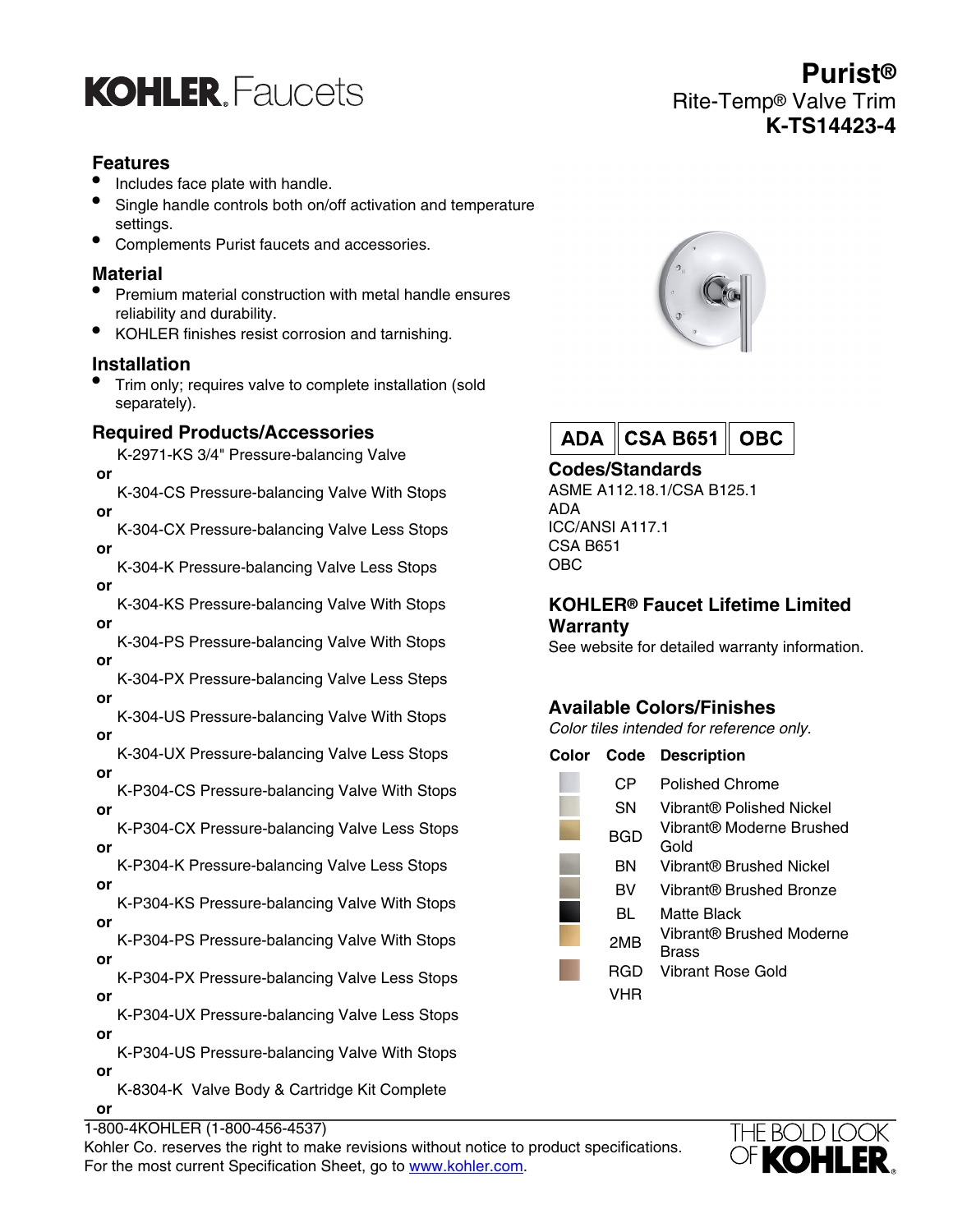## **KOHLER** Faucets

## **Features**

- Includes face plate with handle.
- Single handle controls both on/off activation and temperature settings.
- Complements Purist faucets and accessories.

## **Material**

- Premium material construction with metal handle ensures reliability and durability.
- KOHLER finishes resist corrosion and tarnishing.

#### **Installation**

• Trim only; requires valve to complete installation (sold separately).

## **Required Products/Accessories**

K-2971-KS 3/4" Pressure-balancing Valve  **or**

K-304-CS Pressure-balancing Valve With Stops  **or**

K-304-CX Pressure-balancing Valve Less Stops  **or**

K-304-K Pressure-balancing Valve Less Stops  **or**

K-304-KS Pressure-balancing Valve With Stops  **or**

K-304-PS Pressure-balancing Valve With Stops  **or**

K-304-PX Pressure-balancing Valve Less Steps  **or**

K-304-US Pressure-balancing Valve With Stops  **or**

K-304-UX Pressure-balancing Valve Less Stops  **or**

- K-P304-CS Pressure-balancing Valve With Stops  **or**
- K-P304-CX Pressure-balancing Valve Less Stops  **or**

K-P304-K Pressure-balancing Valve Less Stops  **or**

K-P304-KS Pressure-balancing Valve With Stops  **or**

K-P304-PS Pressure-balancing Valve With Stops  **or**

K-P304-PX Pressure-balancing Valve Less Stops  **or**

K-P304-UX Pressure-balancing Valve Less Stops  **or**

K-P304-US Pressure-balancing Valve With Stops  **or** K-8304-K Valve Body & Cartridge Kit Complete

 **or**

1-800-4KOHLER (1-800-456-4537)

Kohler Co. reserves the right to make revisions without notice to product specifications. For the most current Specification Sheet, go to [www.kohler.com](http://www.kohler.com).



| ADA CSA B651    OBC |  |
|---------------------|--|
|---------------------|--|

**Codes/Standards** ASME A112.18.1/CSA B125.1

ADA ICC/ANSI A117.1 CSA B651 OBC

#### **KOHLER® Faucet Lifetime Limited Warranty**

See website for detailed warranty information.

## **Available Colors/Finishes**

Color tiles intended for reference only.

| Color | Code            | <b>Description</b>                |
|-------|-----------------|-----------------------------------|
|       | CР              | Polished Chrome                   |
|       | SΝ              | Vibrant® Polished Nickel          |
|       | BGD             | Vibrant® Moderne Brushed<br>Gold  |
|       | ΒN              | Vibrant® Brushed Nickel           |
|       | BV              | Vibrant® Brushed Bronze           |
|       | BL              | Matte Black                       |
|       | 2M <sub>R</sub> | Vibrant® Brushed Moderne<br>Brass |
|       | RGD             | Vibrant Rose Gold                 |
|       | VHR             |                                   |



**Purist®** Rite-Temp® Valve Trim **K-TS14423-4**